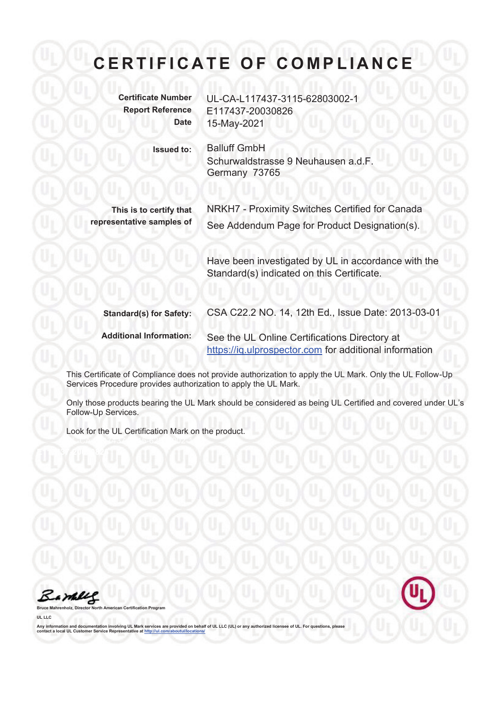**Certificate Number** UL-CA-L117437-3115-62803002-1 **Report Reference** E117437-20030826 **Date** 15-May-2021

**Issued to:** Balluff GmbH Schurwaldstrasse 9 Neuhausen a.d.F. Germany 73765

**This is to certify that representative samples of**  NRKH7 - Proximity Switches Certified for Canada See Addendum Page for Product Designation(s).

Have been investigated by UL in accordance with the Standard(s) indicated on this Certificate.

**Standard(s) for Safety:** CSA C22.2 NO. 14, 12th Ed., Issue Date: 2013-03-01 **Additional Information:** See the UL Online Certifications Directory at https://iq.ulprospector.com for additional information

This Certificate of Compliance does not provide authorization to apply the UL Mark. Only the UL Follow-Up Services Procedure provides authorization to apply the UL Mark.

Only those products bearing the UL Mark should be considered as being UL Certified and covered under UL's Follow-Up Services.

Look for the UL Certification Mark on the product.



**Broard** 

**UL LLC**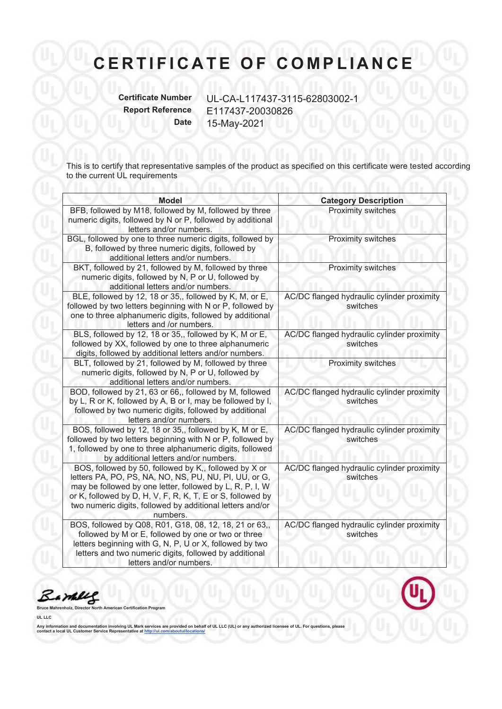**Certificate Number** UL-CA-L117437-3115-62803002-1 **Report Reference** E117437-20030826 **Date** 15-May-2021

This is to certify that representative samples of the product as specified on this certificate were tested according to the current UL requirements

| <b>Model</b>                                                                                                                                                                                                                                                                                                      | <b>Category Description</b>                            |
|-------------------------------------------------------------------------------------------------------------------------------------------------------------------------------------------------------------------------------------------------------------------------------------------------------------------|--------------------------------------------------------|
| BFB, followed by M18, followed by M, followed by three<br>numeric digits, followed by N or P, followed by additional<br>letters and/or numbers.                                                                                                                                                                   | Proximity switches                                     |
| BGL, followed by one to three numeric digits, followed by<br>B, followed by three numeric digits, followed by<br>additional letters and/or numbers.                                                                                                                                                               | Proximity switches                                     |
| BKT, followed by 21, followed by M, followed by three<br>numeric digits, followed by N, P or U, followed by<br>additional letters and/or numbers.                                                                                                                                                                 | Proximity switches                                     |
| BLE, followed by 12, 18 or 35,, followed by K, M, or E,<br>followed by two letters beginning with N or P, followed by<br>one to three alphanumeric digits, followed by additional<br>letters and /or numbers.                                                                                                     | AC/DC flanged hydraulic cylinder proximity<br>switches |
| BLS, followed by 12, 18 or 35,, followed by K, M or E,<br>followed by XX, followed by one to three alphanumeric<br>digits, followed by additional letters and/or numbers.                                                                                                                                         | AC/DC flanged hydraulic cylinder proximity<br>switches |
| BLT, followed by 21, followed by M, followed by three<br>numeric digits, followed by N, P or U, followed by<br>additional letters and/or numbers.                                                                                                                                                                 | Proximity switches                                     |
| BOD, followed by 21, 63 or 66,, followed by M, followed<br>by L, R or K, followed by A, B or I, may be followed by I,<br>followed by two numeric digits, followed by additional<br>letters and/or numbers.                                                                                                        | AC/DC flanged hydraulic cylinder proximity<br>switches |
| BOS, followed by 12, 18 or 35,, followed by K, M or E,<br>followed by two letters beginning with N or P, followed by<br>1, followed by one to three alphanumeric digits, followed<br>by additional letters and/or numbers.                                                                                        | AC/DC flanged hydraulic cylinder proximity<br>switches |
| BOS, followed by 50, followed by K,, followed by X or<br>letters PA, PO, PS, NA, NO, NS, PU, NU, PI, UU, or G,<br>may be followed by one letter, followed by L, R, P, I, W<br>or K, followed by D, H, V, F, R, K, T, E or S, followed by<br>two numeric digits, followed by additional letters and/or<br>numbers. | AC/DC flanged hydraulic cylinder proximity<br>switches |
| BOS, followed by Q08, R01, G18, 08, 12, 18, 21 or 63,,<br>followed by M or E, followed by one or two or three<br>letters beginning with G, N, P, U or X, followed by two<br>letters and two numeric digits, followed by additional<br>letters and/or numbers.                                                     | AC/DC flanged hydraulic cylinder proximity<br>switches |

Bamere

**Brogram** 

**UL LLC**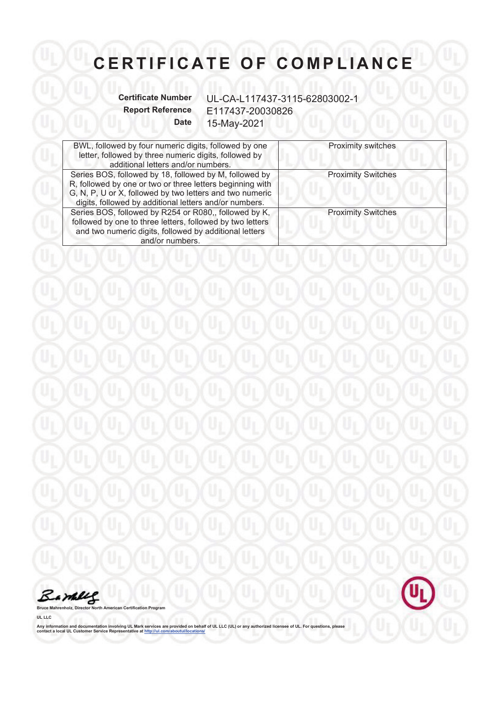**Certificate Number** UL-CA-L117437-3115-62803002-1 **Report Reference** E117437-20030826 **Date** 15-May-2021

Uı

| BWL, followed by four numeric digits, followed by one<br>letter, followed by three numeric digits, followed by<br>additional letters and/or numbers.                                                                                      | <b>Proximity switches</b> |
|-------------------------------------------------------------------------------------------------------------------------------------------------------------------------------------------------------------------------------------------|---------------------------|
| Series BOS, followed by 18, followed by M, followed by<br>R, followed by one or two or three letters beginning with<br>G, N, P, U or X, followed by two letters and two numeric<br>digits, followed by additional letters and/or numbers. | <b>Proximity Switches</b> |
| Series BOS, followed by R254 or R080,, followed by K,<br>followed by one to three letters, followed by two letters<br>and two numeric digits, followed by additional letters<br>and/or numbers.                                           | <b>Proximity Switches</b> |



**Bruce Mahrenholz, Director North American Certification Program**

**UL LLC**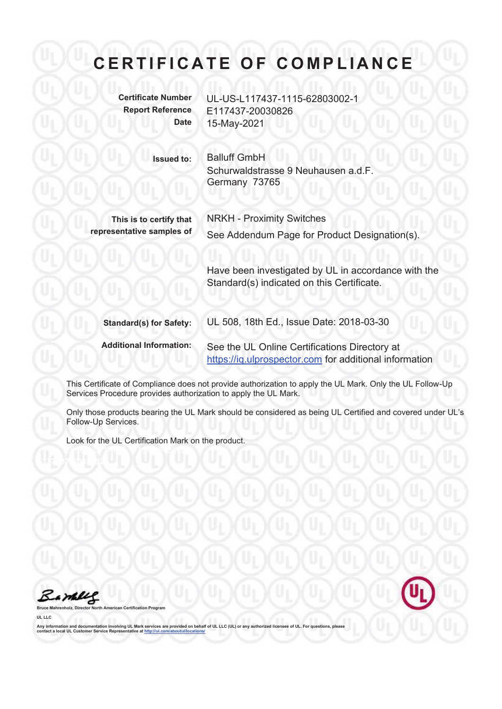**Certificate Number** UL-US-L117437-1115-62803002-1 **Report Reference** E117437-20030826 **Date** 15-May-2021

> **Issued to:** Balluff GmbH Schurwaldstrasse 9 Neuhausen a.d.F. Germany 73765

**This is to certify that representative samples of** 

NRKH - Proximity Switches See Addendum Page for Product Designation(s).

Have been investigated by UL in accordance with the Standard(s) indicated on this Certificate.

**Standard(s) for Safety:** UL 508, 18th Ed., Issue Date: 2018-03-30 **Additional Information:** See the UL Online Certifications Directory at https://iq.ulprospector.com for additional information

This Certificate of Compliance does not provide authorization to apply the UL Mark. Only the UL Follow-Up Services Procedure provides authorization to apply the UL Mark.

Only those products bearing the UL Mark should be considered as being UL Certified and covered under UL's Follow-Up Services.

Look for the UL Certification Mark on the product.



**Broard** 

**UL LLC**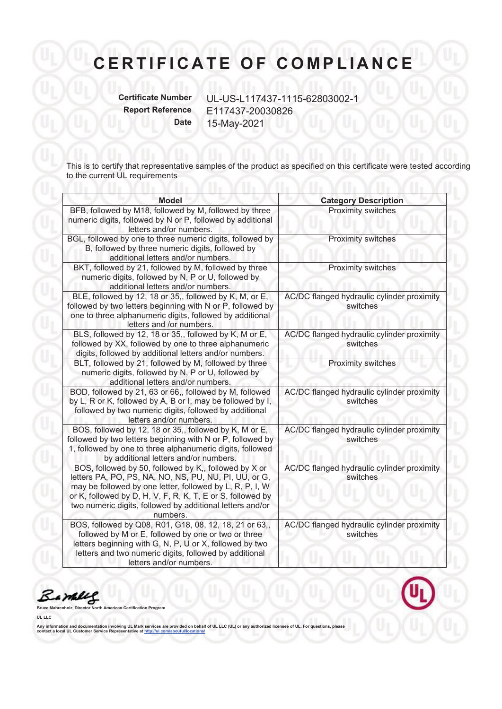**Certificate Number** UL-US-L117437-1115-62803002-1 **Report Reference** E117437-20030826 **Date** 15-May-2021

This is to certify that representative samples of the product as specified on this certificate were tested according to the current UL requirements

| <b>Model</b>                                                                                                                                                                                                                                                                                                      | <b>Category Description</b>                            |
|-------------------------------------------------------------------------------------------------------------------------------------------------------------------------------------------------------------------------------------------------------------------------------------------------------------------|--------------------------------------------------------|
| BFB, followed by M18, followed by M, followed by three<br>numeric digits, followed by N or P, followed by additional<br>letters and/or numbers.                                                                                                                                                                   | Proximity switches                                     |
| BGL, followed by one to three numeric digits, followed by<br>B, followed by three numeric digits, followed by<br>additional letters and/or numbers.                                                                                                                                                               | Proximity switches                                     |
| BKT, followed by 21, followed by M, followed by three<br>numeric digits, followed by N, P or U, followed by<br>additional letters and/or numbers.                                                                                                                                                                 | Proximity switches                                     |
| BLE, followed by 12, 18 or 35,, followed by K, M, or E,<br>followed by two letters beginning with N or P, followed by<br>one to three alphanumeric digits, followed by additional<br>letters and /or numbers.                                                                                                     | AC/DC flanged hydraulic cylinder proximity<br>switches |
| BLS, followed by 12, 18 or 35,, followed by K, M or E,<br>followed by XX, followed by one to three alphanumeric<br>digits, followed by additional letters and/or numbers.                                                                                                                                         | AC/DC flanged hydraulic cylinder proximity<br>switches |
| BLT, followed by 21, followed by M, followed by three<br>numeric digits, followed by N, P or U, followed by<br>additional letters and/or numbers.                                                                                                                                                                 | Proximity switches                                     |
| BOD, followed by 21, 63 or 66,, followed by M, followed<br>by L, R or K, followed by A, B or I, may be followed by I,<br>followed by two numeric digits, followed by additional<br>letters and/or numbers.                                                                                                        | AC/DC flanged hydraulic cylinder proximity<br>switches |
| BOS, followed by 12, 18 or 35,, followed by K, M or E,<br>followed by two letters beginning with N or P, followed by<br>1, followed by one to three alphanumeric digits, followed<br>by additional letters and/or numbers.                                                                                        | AC/DC flanged hydraulic cylinder proximity<br>switches |
| BOS, followed by 50, followed by K,, followed by X or<br>letters PA, PO, PS, NA, NO, NS, PU, NU, PI, UU, or G,<br>may be followed by one letter, followed by L, R, P, I, W<br>or K, followed by D, H, V, F, R, K, T, E or S, followed by<br>two numeric digits, followed by additional letters and/or<br>numbers. | AC/DC flanged hydraulic cylinder proximity<br>switches |
| BOS, followed by Q08, R01, G18, 08, 12, 18, 21 or 63,,<br>followed by M or E, followed by one or two or three<br>letters beginning with G, N, P, U or X, followed by two<br>letters and two numeric digits, followed by additional<br>letters and/or numbers.                                                     | AC/DC flanged hydraulic cylinder proximity<br>switches |

Bamere

**Brogram** 

**UL LLC**